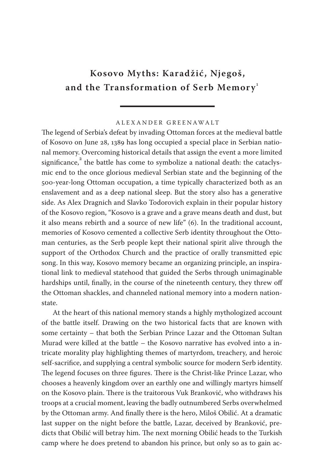## **Kosovo Myths: Karadžić, Njegoš,** and the Transformation of Serb Memory<sup>1</sup>

## A L E X A N D E R G R E E N A W A LT

The legend of Serbia's defeat by invading Ottoman forces at the medieval battle of Kosovo on June 28, 1389 has long occupied a special place in Serbian national memory. Overcoming historical details that assign the event a more limited significance, $\degree$  the battle has come to symbolize a national death: the cataclysmic end to the once glorious medieval Serbian state and the beginning of the 500-year-long Ottoman occupation, a time typically characterized both as an enslavement and as a deep national sleep. But the story also has a generative side. As Alex Dragnich and Slavko Todorovich explain in their popular history of the Kosovo region, "Kosovo is a grave and a grave means death and dust, but it also means rebirth and a source of new life"  $(6)$ . In the traditional account, memories of Kosovo cemented a collective Serb identity throughout the Ottoman centuries, as the Serb people kept their national spirit alive through the support of the Orthodox Church and the practice of orally transmitted epic song. In this way, Kosovo memory became an organizing principle, an inspirational link to medieval statehood that guided the Serbs through unimaginable hardships until, finally, in the course of the nineteenth century, they threw off the Ottoman shackles, and channeled national memory into a modern nationstate.

At the heart of this national memory stands a highly mythologized account of the battle itself. Drawing on the two historical facts that are known with some certainty – that both the Serbian Prince Lazar and the Ottoman Sultan Murad were killed at the battle – the Kosovo narrative has evolved into a intricate morality play highlighting themes of martyrdom, treachery, and heroic self-sacrifice, and supplying a central symbolic source for modern Serb identity. The legend focuses on three figures. There is the Christ-like Prince Lazar, who chooses a heavenly kingdom over an earthly one and willingly martyrs himself on the Kosovo plain. There is the traitorous Vuk Branković, who withdraws his troops at a crucial moment, leaving the badly outnumbered Serbs overwhelmed by the Ottoman army. And finally there is the hero, Miloš Obilić. At a dramatic last supper on the night before the battle, Lazar, deceived by Branković, predicts that Obilić will betray him. The next morning Obilić heads to the Turkish camp where he does pretend to abandon his prince, but only so as to gain ac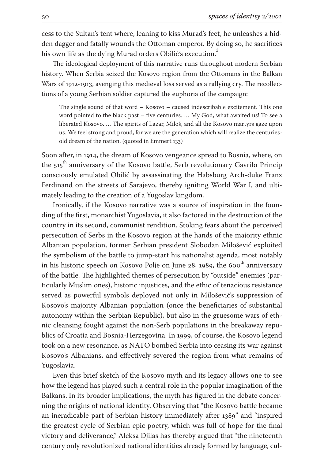cess to the Sultan's tent where, leaning to kiss Murad's feet, he unleashes a hidden dagger and fatally wounds the Ottoman emperor. By doing so, he sacrifices his own life as the dying Murad orders Obilić's execution.<sup>3</sup>

The ideological deployment of this narrative runs throughout modern Serbian history. When Serbia seized the Kosovo region from the Ottomans in the Balkan Wars of 1912-1913, avenging this medieval loss served as a rallying cry. The recollections of a young Serbian soldier captured the euphoria of the campaign:

The single sound of that word – Kosovo – caused indescribable excitement. This one word pointed to the black past – five centuries. … My God, what awaited us! To see a liberated Kosovo. … The spirits of Lazar, Miloš, and all the Kosovo martyrs gaze upon us. We feel strong and proud, for we are the generation which will realize the centuriesold dream of the nation. (quoted in Emmert 133)

Soon after, in 1914, the dream of Kosovo vengeance spread to Bosnia, where, on the 515<sup>th</sup> anniversary of the Kosovo battle, Serb revolutionary Gavrilo Princip consciously emulated Obilić by assassinating the Habsburg Arch-duke Franz Ferdinand on the streets of Sarajevo, thereby igniting World War I, and ultimately leading to the creation of a Yugoslav kingdom.

Ironically, if the Kosovo narrative was a source of inspiration in the founding of the first, monarchist Yugoslavia, it also factored in the destruction of the country in its second, communist rendition. Stoking fears about the perceived persecution of Serbs in the Kosovo region at the hands of the majority ethnic Albanian population, former Serbian president Slobodan Milošević exploited the symbolism of the battle to jump-start his nationalist agenda, most notably in his historic speech on Kosovo Polje on June  $28$ , 1989, the  $600<sup>th</sup>$  anniversary of the battle. The highlighted themes of persecution by "outside" enemies (particularly Muslim ones), historic injustices, and the ethic of tenacious resistance served as powerful symbols deployed not only in Milošević's suppression of Kosovo's majority Albanian population (once the beneficiaries of substantial autonomy within the Serbian Republic), but also in the gruesome wars of ethnic cleansing fought against the non-Serb populations in the breakaway republics of Croatia and Bosnia-Herzegovina. In 1999, of course, the Kosovo legend took on a new resonance, as NATO bombed Serbia into ceasing its war against Kosovo's Albanians, and effectively severed the region from what remains of Yugoslavia.

Even this brief sketch of the Kosovo myth and its legacy allows one to see how the legend has played such a central role in the popular imagination of the Balkans. In its broader implications, the myth has figured in the debate concerning the origins of national identity. Observing that "the Kosovo battle became an ineradicable part of Serbian history immediately after 1389" and "inspired the greatest cycle of Serbian epic poetry, which was full of hope for the final victory and deliverance," Aleksa Djilas has thereby argued that "the nineteenth century only revolutionized national identities already formed by language, cul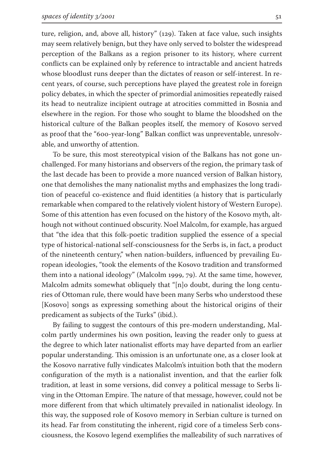ture, religion, and, above all, history" (129). Taken at face value, such insights may seem relatively benign, but they have only served to bolster the widespread perception of the Balkans as a region prisoner to its history, where current conflicts can be explained only by reference to intractable and ancient hatreds whose bloodlust runs deeper than the dictates of reason or self-interest. In recent years, of course, such perceptions have played the greatest role in foreign policy debates, in which the specter of primordial animosities repeatedly raised its head to neutralize incipient outrage at atrocities committed in Bosnia and elsewhere in the region. For those who sought to blame the bloodshed on the historical culture of the Balkan peoples itself, the memory of Kosovo served as proof that the "600-year-long" Balkan conflict was unpreventable, unresolvable, and unworthy of attention.

To be sure, this most stereotypical vision of the Balkans has not gone unchallenged. For many historians and observers of the region, the primary task of the last decade has been to provide a more nuanced version of Balkan history, one that demolishes the many nationalist myths and emphasizes the long tradition of peaceful co-existence and fluid identities (a history that is particularly remarkable when compared to the relatively violent history of Western Europe). Some of this attention has even focused on the history of the Kosovo myth, although not without continued obscurity. Noel Malcolm, for example, has argued that "the idea that this folk-poetic tradition supplied the essence of a special type of historical-national self-consciousness for the Serbs is, in fact, a product of the nineteenth century," when nation-builders, influenced by prevailing European ideologies, "took the elements of the Kosovo tradition and transformed them into a national ideology" (Malcolm 1999, 79). At the same time, however, Malcolm admits somewhat obliquely that "[n]o doubt, during the long centuries of Ottoman rule, there would have been many Serbs who understood these [Kosovo] songs as expressing something about the historical origins of their predicament as subjects of the Turks" (ibid.).

By failing to suggest the contours of this pre-modern understanding, Malcolm partly undermines his own position, leaving the reader only to guess at the degree to which later nationalist efforts may have departed from an earlier popular understanding. ͳis omission is an unfortunate one, as a closer look at the Kosovo narrative fully vindicates Malcolm's intuition both that the modern configuration of the myth is a nationalist invention, and that the earlier folk tradition, at least in some versions, did convey a political message to Serbs living in the Ottoman Empire. The nature of that message, however, could not be more different from that which ultimately prevailed in nationalist ideology. In this way, the supposed role of Kosovo memory in Serbian culture is turned on its head. Far from constituting the inherent, rigid core of a timeless Serb consciousness, the Kosovo legend exemplifies the malleability of such narratives of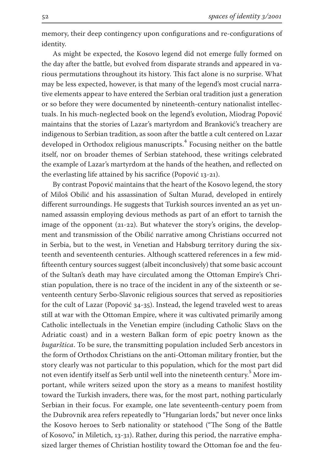memory, their deep contingency upon configurations and re-configurations of identity.

As might be expected, the Kosovo legend did not emerge fully formed on the day after the battle, but evolved from disparate strands and appeared in various permutations throughout its history. ͳis fact alone is no surprise. What may be less expected, however, is that many of the legend's most crucial narrative elements appear to have entered the Serbian oral tradition just a generation or so before they were documented by nineteenth-century nationalist intellectuals. In his much-neglected book on the legend's evolution, Miodrag Popović maintains that the stories of Lazar's martyrdom and Branković's treachery are indigenous to Serbian tradition, as soon after the battle a cult centered on Lazar developed in Orthodox religious manuscripts. Focusing neither on the battle itself, nor on broader themes of Serbian statehood, these writings celebrated the example of Lazar's martyrdom at the hands of the heathen, and reflected on the everlasting life attained by his sacrifice (Popović 13-21).

By contrast Popović maintains that the heart of the Kosovo legend, the story of Miloš Obilić and his assassination of Sultan Murad, developed in entirely different surroundings. He suggests that Turkish sources invented an as yet unnamed assassin employing devious methods as part of an effort to tarnish the image of the opponent ( $21-22$ ). But whatever the story's origins, the development and transmission of the Obilić narrative among Christians occurred not in Serbia, but to the west, in Venetian and Habsburg territory during the sixteenth and seventeenth centuries. Although scattered references in a few midfifteenth century sources suggest (albeit inconclusively) that some basic account of the Sultan's death may have circulated among the Ottoman Empire's Christian population, there is no trace of the incident in any of the sixteenth or seventeenth century Serbo-Slavonic religious sources that served as repositiories for the cult of Lazar (Popović 34-35). Instead, the legend traveled west to areas still at war with the Ottoman Empire, where it was cultivated primarily among Catholic intellectuals in the Venetian empire (including Catholic Slavs on the Adriatic coast) and in a western Balkan form of epic poetry known as the *bugarštica*. To be sure, the transmitting population included Serb ancestors in the form of Orthodox Christians on the anti-Ottoman military frontier, but the story clearly was not particular to this population, which for the most part did not even identify itself as Serb until well into the nineteenth century.  $^5$  More important, while writers seized upon the story as a means to manifest hostility toward the Turkish invaders, there was, for the most part, nothing particularly Serbian in their focus. For example, one late seventeenth-century poem from the Dubrovnik area refers repeatedly to "Hungarian lords," but never once links the Kosovo heroes to Serb nationality or statehood ("The Song of the Battle of Kosovo," in Miletich,  $13-31$ ). Rather, during this period, the narrative emphasized larger themes of Christian hostility toward the Ottoman foe and the feu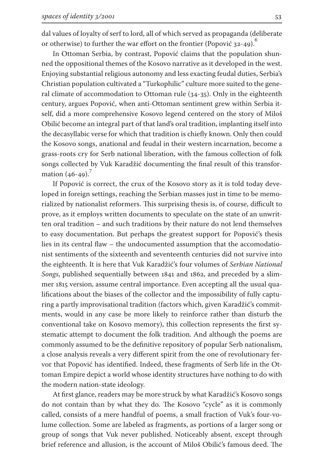dal values of loyalty of serf to lord, all of which served as propaganda (deliberate or otherwise) to further the war effort on the frontier (Popović 32-49).

In Ottoman Serbia, by contrast, Popović claims that the population shunned the oppositional themes of the Kosovo narrative as it developed in the west. Enjoying substantial religious autonomy and less exacting feudal duties, Serbia's Christian population cultivated a "Turkophilic" culture more suited to the general climate of accommodation to Ottoman rule  $(34-35)$ . Only in the eighteenth century, argues Popović, when anti-Ottoman sentiment grew within Serbia itself, did a more comprehensive Kosovo legend centered on the story of Miloš Obilić become an integral part of that land's oral tradition, implanting itself into the decasyllabic verse for which that tradition is chiefly known. Only then could the Kosovo songs, anational and feudal in their western incarnation, become a grass-roots cry for Serb national liberation, with the famous collection of folk songs collected by Vuk Karadžić documenting the final result of this transformation  $(46-49)$ .

If Popović is correct, the crux of the Kosovo story as it is told today developed in foreign settings, reaching the Serbian masses just in time to be memorialized by nationalist reformers. This surprising thesis is, of course, difficult to prove, as it employs written documents to speculate on the state of an unwritten oral tradition – and such traditions by their nature do not lend themselves to easy documentation. But perhaps the greatest support for Popović's thesis lies in its central flaw – the undocumented assumption that the accomodationist sentiments of the sixteenth and seventeenth centuries did not survive into the eighteenth. It is here that Vuk Karadžić's four volumes of *Serbian National Songs*, published sequentially between 1841 and 1862, and preceded by a slimmer 1815 version, assume central importance. Even accepting all the usual qualifications about the biases of the collector and the impossibility of fully capturing a partly improvisational tradition (factors which, given Karadžić's commitments, would in any case be more likely to reinforce rather than disturb the conventional take on Kosovo memory), this collection represents the first systematic attempt to document the folk tradition. And although the poems are commonly assumed to be the definitive repository of popular Serb nationalism, a close analysis reveals a very different spirit from the one of revolutionary fervor that Popović has identified. Indeed, these fragments of Serb life in the Ottoman Empire depict a world whose identity structures have nothing to do with the modern nation-state ideology.

At first glance, readers may be more struck by what Karadžić's Kosovo songs do not contain than by what they do. The Kosovo "cycle" as it is commonly called, consists of a mere handful of poems, a small fraction of Vuk's four-volume collection. Some are labeled as fragments, as portions of a larger song or group of songs that Vuk never published. Noticeably absent, except through brief reference and allusion, is the account of Miloš Obilić's famous deed. The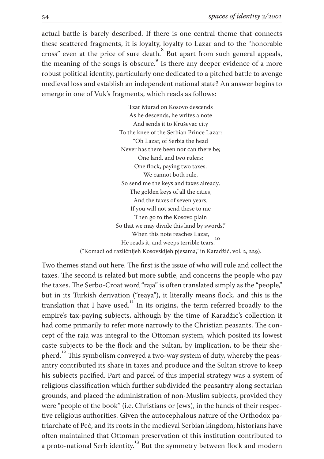actual battle is barely described. If there is one central theme that connects these scattered fragments, it is loyalty, loyalty to Lazar and to the "honorable cross" even at the price of sure death.<sup>8</sup> But apart from such general appeals, the meaning of the songs is obscure.<sup>9</sup> Is there any deeper evidence of a more robust political identity, particularly one dedicated to a pitched battle to avenge medieval loss and establish an independent national state? An answer begins to emerge in one of Vuk's fragments, which reads as follows:

> Tzar Murad on Kosovo descends As he descends, he writes a note And sends it to Kruševac city To the knee of the Serbian Prince Lazar: "Oh Lazar, of Serbia the head Never has there been nor can there be; One land, and two rulers; One flock, paying two taxes. We cannot both rule, So send me the keys and taxes already, The golden keys of all the cities, And the taxes of seven years, If you will not send these to me Then go to the Kosovo plain So that we may divide this land by swords." When this note reaches Lazar, when this note reaches Eazar,<br>He reads it, and weeps terrible tears. ("Komadi od različnijeh Kosovskijeh pjesama," in Karadžić, vol. 2, 229).

Two themes stand out here. The first is the issue of who will rule and collect the taxes. The second is related but more subtle, and concerns the people who pay the taxes. The Serbo-Croat word "raja" is often translated simply as the "people," but in its Turkish derivation ("reaya"), it literally means flock, and this is the translation that I have used.<sup>11</sup> In its origins, the term referred broadly to the empire's tax-paying subjects, although by the time of Karadžić's collection it had come primarily to refer more narrowly to the Christian peasants. The concept of the raja was integral to the Ottoman system, which posited its lowest caste subjects to be the flock and the Sultan, by implication, to be their shepherd.<sup>12</sup> This symbolism conveyed a two-way system of duty, whereby the peasantry contributed its share in taxes and produce and the Sultan strove to keep his subjects pacified. Part and parcel of this imperial strategy was a system of religious classification which further subdivided the peasantry along sectarian grounds, and placed the administration of non-Muslim subjects, provided they were "people of the book" (i.e. Christians or Jews), in the hands of their respective religious authorities. Given the autocephalous nature of the Orthodox patriarchate of Peć, and its roots in the medieval Serbian kingdom, historians have often maintained that Ottoman preservation of this institution contributed to a proto-national Serb identity.<sup>13</sup> But the symmetry between flock and modern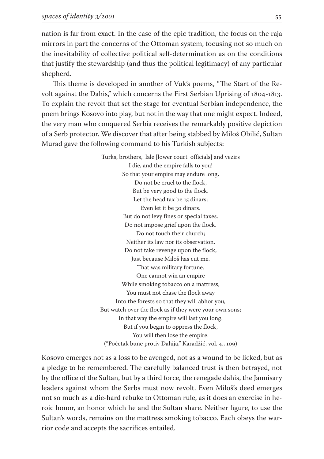nation is far from exact. In the case of the epic tradition, the focus on the raja mirrors in part the concerns of the Ottoman system, focusing not so much on the inevitability of collective political self-determination as on the conditions that justify the stewardship (and thus the political legitimacy) of any particular shepherd.

This theme is developed in another of Vuk's poems, "The Start of the Revolt against the Dahis," which concerns the First Serbian Uprising of  $1804-1813$ . To explain the revolt that set the stage for eventual Serbian independence, the poem brings Kosovo into play, but not in the way that one might expect. Indeed, the very man who conquered Serbia receives the remarkably positive depiction of a Serb protector. We discover that after being stabbed by Miloš Obilić, Sultan Murad gave the following command to his Turkish subjects:

> Turks, brothers, lale [lower court officials] and vezirs I die, and the empire falls to you! So that your empire may endure long, Do not be cruel to the flock, But be very good to the flock. Let the head tax be 15 dinars; Even let it be 30 dinars. But do not levy fines or special taxes. Do not impose grief upon the flock. Do not touch their church; Neither its law nor its observation. Do not take revenge upon the flock, Just because Miloš has cut me. That was military fortune. One cannot win an empire While smoking tobacco on a mattress, You must not chase the flock away Into the forests so that they will abhor you, But watch over the flock as if they were your own sons; In that way the empire will last you long. But if you begin to oppress the flock, You will then lose the empire. ("Početak bune protiv Dahija," Karadžić, vol. 4., 109)

Kosovo emerges not as a loss to be avenged, not as a wound to be licked, but as a pledge to be remembered. The carefully balanced trust is then betrayed, not by the office of the Sultan, but by a third force, the renegade dahis, the Jannisary leaders against whom the Serbs must now revolt. Even Miloš's deed emerges not so much as a die-hard rebuke to Ottoman rule, as it does an exercise in heroic honor, an honor which he and the Sultan share. Neither figure, to use the Sultan's words, remains on the mattress smoking tobacco. Each obeys the warrior code and accepts the sacrifices entailed.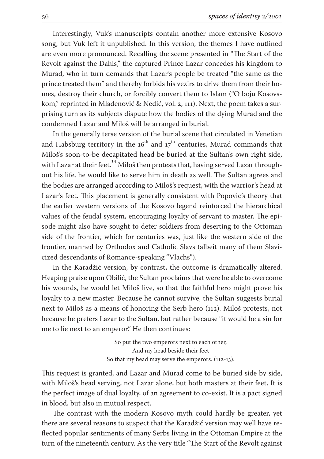Interestingly, Vuk's manuscripts contain another more extensive Kosovo song, but Vuk left it unpublished. In this version, the themes I have outlined are even more pronounced. Recalling the scene presented in "The Start of the Revolt against the Dahis," the captured Prince Lazar concedes his kingdom to Murad, who in turn demands that Lazar's people be treated "the same as the prince treated them" and thereby forbids his vezirs to drive them from their homes, destroy their church, or forcibly convert them to Islam ("O boju Kosovskom," reprinted in Mladenović & Nedić, vol. 2, 111). Next, the poem takes a surprising turn as its subjects dispute how the bodies of the dying Murad and the condemned Lazar and Miloš will be arranged in burial.

In the generally terse version of the burial scene that circulated in Venetian and Habsburg territory in the 16<sup>th</sup> and 17<sup>th</sup> centuries, Murad commands that Miloš's soon-to-be decapitated head be buried at the Sultan's own right side, with Lazar at their feet.<sup>14</sup> Miloš then protests that, having served Lazar throughout his life, he would like to serve him in death as well. The Sultan agrees and the bodies are arranged according to Miloš's request, with the warrior's head at Lazar's feet. This placement is generally consistent with Popovic's theory that the earlier western versions of the Kosovo legend reinforced the hierarchical values of the feudal system, encouraging loyalty of servant to master. The episode might also have sought to deter soldiers from deserting to the Ottoman side of the frontier, which for centuries was, just like the western side of the frontier, manned by Orthodox and Catholic Slavs (albeit many of them Slavicized descendants of Romance-speaking "Vlachs").

In the Karadžić version, by contrast, the outcome is dramatically altered. Heaping praise upon Obilić, the Sultan proclaims that were he able to overcome his wounds, he would let Miloš live, so that the faithful hero might prove his loyalty to a new master. Because he cannot survive, the Sultan suggests burial next to Miloš as a means of honoring the Serb hero (112). Miloš protests, not because he prefers Lazar to the Sultan, but rather because "it would be a sin for me to lie next to an emperor." He then continues:

> So put the two emperors next to each other, And my head beside their feet So that my head may serve the emperors.  $(112-13)$ .

This request is granted, and Lazar and Murad come to be buried side by side, with Miloš's head serving, not Lazar alone, but both masters at their feet. It is the perfect image of dual loyalty, of an agreement to co-exist. It is a pact signed in blood, but also in mutual respect.

The contrast with the modern Kosovo myth could hardly be greater, yet there are several reasons to suspect that the Karadžić version may well have reflected popular sentiments of many Serbs living in the Ottoman Empire at the turn of the nineteenth century. As the very title "The Start of the Revolt against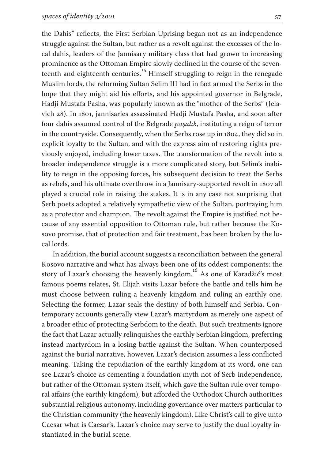the Dahis" reflects, the First Serbian Uprising began not as an independence struggle against the Sultan, but rather as a revolt against the excesses of the local dahis, leaders of the Jannisary military class that had grown to increasing prominence as the Ottoman Empire slowly declined in the course of the seventeenth and eighteenth centuries.<sup>15</sup> Himself struggling to reign in the renegade Muslim lords, the reforming Sultan Selim III had in fact armed the Serbs in the hope that they might aid his efforts, and his appointed governor in Belgrade, Hadji Mustafa Pasha, was popularly known as the "mother of the Serbs" (Jelavich 28). In 1801, jannisaries assassinated Hadji Mustafa Pasha, and soon after four dahis assumed control of the Belgrade *paşalık*, instituting a reign of terror in the countryside. Consequently, when the Serbs rose up in 1804, they did so in explicit loyalty to the Sultan, and with the express aim of restoring rights previously enjoyed, including lower taxes. ͳe transformation of the revolt into a broader independence struggle is a more complicated story, but Selim's inability to reign in the opposing forces, his subsequent decision to treat the Serbs as rebels, and his ultimate overthrow in a Jannisary-supported revolt in 1807 all played a crucial role in raising the stakes. It is in any case not surprising that Serb poets adopted a relatively sympathetic view of the Sultan, portraying him as a protector and champion. The revolt against the Empire is justified not because of any essential opposition to Ottoman rule, but rather because the Kosovo promise, that of protection and fair treatment, has been broken by the local lords.

In addition, the burial account suggests a reconciliation between the general Kosovo narrative and what has always been one of its oddest components: the story of Lazar's choosing the heavenly kingdom.<sup>16</sup> As one of Karadžić's most famous poems relates, St. Elijah visits Lazar before the battle and tells him he must choose between ruling a heavenly kingdom and ruling an earthly one. Selecting the former, Lazar seals the destiny of both himself and Serbia. Contemporary accounts generally view Lazar's martyrdom as merely one aspect of a broader ethic of protecting Serbdom to the death. But such treatments ignore the fact that Lazar actually relinquishes the earthly Serbian kingdom, preferring instead martyrdom in a losing battle against the Sultan. When counterposed against the burial narrative, however, Lazar's decision assumes a less conflicted meaning. Taking the repudiation of the earthly kingdom at its word, one can see Lazar's choice as cementing a foundation myth not of Serb independence, but rather of the Ottoman system itself, which gave the Sultan rule over temporal affairs (the earthly kingdom), but afforded the Orthodox Church authorities substantial religious autonomy, including governance over matters particular to the Christian community (the heavenly kingdom). Like Christ's call to give unto Caesar what is Caesar's, Lazar's choice may serve to justify the dual loyalty instantiated in the burial scene.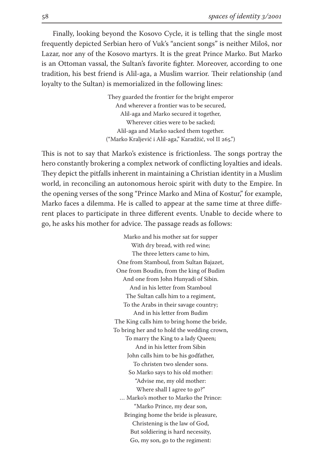Finally, looking beyond the Kosovo Cycle, it is telling that the single most frequently depicted Serbian hero of Vuk's "ancient songs" is neither Miloš, nor Lazar, nor any of the Kosovo martyrs. It is the great Prince Marko. But Marko is an Ottoman vassal, the Sultan's favorite fighter. Moreover, according to one tradition, his best friend is Alil-aga, a Muslim warrior. Their relationship (and loyalty to the Sultan) is memorialized in the following lines:

> They guarded the frontier for the bright emperor And wherever a frontier was to be secured, Alil-aga and Marko secured it together, Wherever cities were to be sacked; Alil-aga and Marko sacked them together. ("Marko Kraljević i Alil-aga," Karadžić, vol II 265.")

This is not to say that Marko's existence is frictionless. The songs portray the hero constantly brokering a complex network of conflicting loyalties and ideals. They depict the pitfalls inherent in maintaining a Christian identity in a Muslim world, in reconciling an autonomous heroic spirit with duty to the Empire. In the opening verses of the song "Prince Marko and Mina of Kostur," for example, Marko faces a dilemma. He is called to appear at the same time at three different places to participate in three different events. Unable to decide where to go, he asks his mother for advice. The passage reads as follows:

> Marko and his mother sat for supper With dry bread, with red wine; The three letters came to him, One from Stamboul, from Sultan Bajazet, One from Boudin, from the king of Budim And one from John Hunyadi of Sibin. And in his letter from Stamboul The Sultan calls him to a regiment, To the Arabs in their savage country; And in his letter from Budim The King calls him to bring home the bride, To bring her and to hold the wedding crown, To marry the King to a lady Queen; And in his letter from Sibin John calls him to be his godfather, To christen two slender sons. So Marko says to his old mother: "Advise me, my old mother: Where shall I agree to go?" … Marko's mother to Marko the Prince: "Marko Prince, my dear son, Bringing home the bride is pleasure, Christening is the law of God, But soldiering is hard necessity, Go, my son, go to the regiment: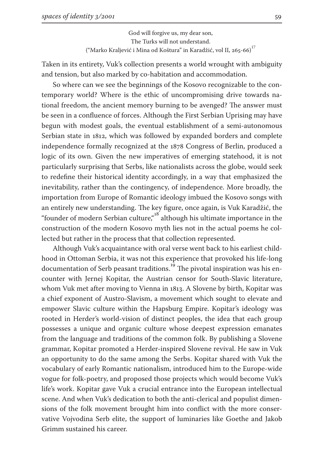God will forgive us, my dear son, The Turks will not understand. ("Marko Kraljević i Mina od Koštura" in Karadžić, vol II, 265-66)<sup>17</sup>

Taken in its entirety, Vuk's collection presents a world wrought with ambiguity and tension, but also marked by co-habitation and accommodation.

So where can we see the beginnings of the Kosovo recognizable to the contemporary world? Where is the ethic of uncompromising drive towards national freedom, the ancient memory burning to be avenged? The answer must be seen in a confluence of forces. Although the First Serbian Uprising may have begun with modest goals, the eventual establishment of a semi-autonomous Serbian state in 1812, which was followed by expanded borders and complete independence formally recognized at the 1878 Congress of Berlin, produced a logic of its own. Given the new imperatives of emerging statehood, it is not particularly surprising that Serbs, like nationalists across the globe, would seek to redefine their historical identity accordingly, in a way that emphasized the inevitability, rather than the contingency, of independence. More broadly, the importation from Europe of Romantic ideology imbued the Kosovo songs with an entirely new understanding. The key figure, once again, is Vuk Karadžić, the "founder of modern Serbian culture," although his ultimate importance in the construction of the modern Kosovo myth lies not in the actual poems he collected but rather in the process that that collection represented.

Although Vuk's acquaintance with oral verse went back to his earliest childhood in Ottoman Serbia, it was not this experience that provoked his life-long documentation of Serb peasant traditions.<sup>19</sup> The pivotal inspiration was his encounter with Jernej Kopitar, the Austrian censor for South-Slavic literature, whom Vuk met after moving to Vienna in 1813. A Slovene by birth, Kopitar was a chief exponent of Austro-Slavism, a movement which sought to elevate and empower Slavic culture within the Hapsburg Empire. Kopitar's ideology was rooted in Herder's world-vision of distinct peoples, the idea that each group possesses a unique and organic culture whose deepest expression emanates from the language and traditions of the common folk. By publishing a Slovene grammar, Kopitar promoted a Herder-inspired Slovene revival. He saw in Vuk an opportunity to do the same among the Serbs. Kopitar shared with Vuk the vocabulary of early Romantic nationalism, introduced him to the Europe-wide vogue for folk-poetry, and proposed those projects which would become Vuk's life's work. Kopitar gave Vuk a crucial entrance into the European intellectual scene. And when Vuk's dedication to both the anti-clerical and populist dimensions of the folk movement brought him into conflict with the more conservative Vojvodina Serb elite, the support of luminaries like Goethe and Jakob Grimm sustained his career.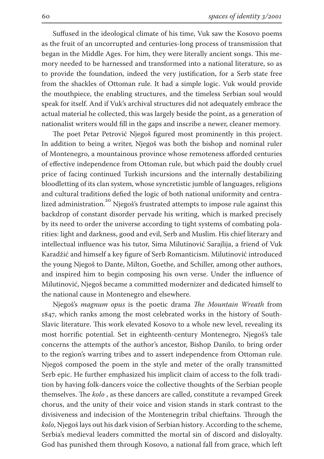Suffused in the ideological climate of his time, Vuk saw the Kosovo poems as the fruit of an uncorrupted and centuries-long process of transmission that began in the Middle Ages. For him, they were literally ancient songs. This memory needed to be harnessed and transformed into a national literature, so as to provide the foundation, indeed the very justification, for a Serb state free from the shackles of Ottoman rule. It had a simple logic. Vuk would provide the mouthpiece, the enabling structures, and the timeless Serbian soul would speak for itself. And if Vuk's archival structures did not adequately embrace the actual material he collected, this was largely beside the point, as a generation of nationalist writers would fill in the gaps and inscribe a newer, cleaner memory.

The poet Petar Petrović Njegoš figured most prominently in this project. In addition to being a writer, Njegoš was both the bishop and nominal ruler of Montenegro, a mountainous province whose remoteness afforded centuries of effective independence from Ottoman rule, but which paid the doubly cruel price of facing continued Turkish incursions and the internally destabilizing bloodletting of its clan system, whose syncretistic jumble of languages, religions and cultural traditions defied the logic of both national uniformity and centralized administration.<sup>20</sup> Njegoš's frustrated attempts to impose rule against this backdrop of constant disorder pervade his writing, which is marked precisely by its need to order the universe according to tight systems of combating polarities: light and darkness, good and evil, Serb and Muslim. His chief literary and intellectual influence was his tutor, Sima Milutinović Sarajlija, a friend of Vuk Karadžić and himself a key figure of Serb Romanticism. Milutinović introduced the young Njegoš to Dante, Milton, Goethe, and Schiller, among other authors, and inspired him to begin composing his own verse. Under the influence of Milutinović, Njegoš became a committed modernizer and dedicated himself to the national cause in Montenegro and elsewhere.

Njegoš's *magnum opus* is the poetic drama *ͷe Mountain Wreath* from , which ranks among the most celebrated works in the history of South-Slavic literature. This work elevated Kosovo to a whole new level, revealing its most horrific potential. Set in eighteenth-century Montenegro, Njegoš's tale concerns the attempts of the author's ancestor, Bishop Danilo, to bring order to the region's warring tribes and to assert independence from Ottoman rule. Njegoš composed the poem in the style and meter of the orally transmitted Serb epic. He further emphasized his implicit claim of access to the folk tradition by having folk-dancers voice the collective thoughts of the Serbian people themselves. The *kolo*, as these dancers are called, constitute a revamped Greek chorus, and the unity of their voice and vision stands in stark contrast to the divisiveness and indecision of the Montenegrin tribal chieftains. Through the *kolo*, Njegoš lays out his dark vision of Serbian history. According to the scheme, Serbia's medieval leaders committed the mortal sin of discord and disloyalty. God has punished them through Kosovo, a national fall from grace, which left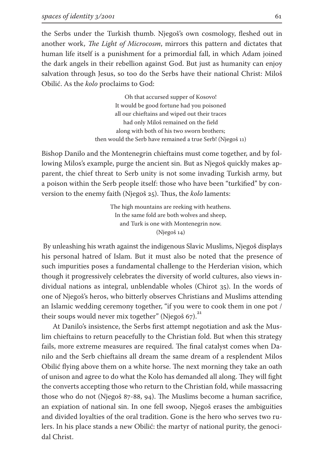the Serbs under the Turkish thumb. Njegoš's own cosmology, fleshed out in another work, *The Light of Microcosm*, mirrors this pattern and dictates that human life itself is a punishment for a primordial fall, in which Adam joined the dark angels in their rebellion against God. But just as humanity can enjoy salvation through Jesus, so too do the Serbs have their national Christ: Miloš Obilić. As the *kolo* proclaims to God:

> Oh that accursed supper of Kosovo! It would be good fortune had you poisoned all our chieftains and wiped out their traces had only Miloš remained on the field along with both of his two sworn brothers; then would the Serb have remained a true Serb! (Njegoš 11)

Bishop Danilo and the Montenegrin chieftains must come together, and by following Milos's example, purge the ancient sin. But as Njegoš quickly makes apparent, the chief threat to Serb unity is not some invading Turkish army, but a poison within the Serb people itself: those who have been "turkified" by conversion to the enemy faith (Njegoš 25). Thus, the *kolo* laments:

> The high mountains are reeking with heathens. In the same fold are both wolves and sheep, and Turk is one with Montenegrin now.  $(Njegoš 14)$

 By unleashing his wrath against the indigenous Slavic Muslims, Njegoš displays his personal hatred of Islam. But it must also be noted that the presence of such impurities poses a fundamental challenge to the Herderian vision, which though it progressively celebrates the diversity of world cultures, also views individual nations as integral, unblendable wholes (Chirot  $35$ ). In the words of one of Njegoš's heros, who bitterly observes Christians and Muslims attending an Islamic wedding ceremony together, "if you were to cook them in one pot / their soups would never mix together" (Niegoš 67).<sup>21</sup>

At Danilo's insistence, the Serbs first attempt negotiation and ask the Muslim chieftains to return peacefully to the Christian fold. But when this strategy fails, more extreme measures are required. The final catalyst comes when Danilo and the Serb chieftains all dream the same dream of a resplendent Milos Obilić flying above them on a white horse. The next morning they take an oath of unison and agree to do what the Kolo has demanded all along. They will fight the converts accepting those who return to the Christian fold, while massacring those who do not (Njegoš 87-88, 94). The Muslims become a human sacrifice, an expiation of national sin. In one fell swoop, Njegoš erases the ambiguities and divided loyalties of the oral tradition. Gone is the hero who serves two rulers. In his place stands a new Obilić: the martyr of national purity, the genocidal Christ.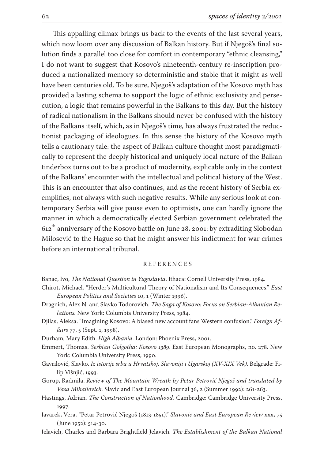This appalling climax brings us back to the events of the last several years, which now loom over any discussion of Balkan history. But if Njegoš's final solution finds a parallel too close for comfort in contemporary "ethnic cleansing," I do not want to suggest that Kosovo's nineteenth-century re-inscription produced a nationalized memory so deterministic and stable that it might as well have been centuries old. To be sure, Njegoš's adaptation of the Kosovo myth has provided a lasting schema to support the logic of ethnic exclusivity and persecution, a logic that remains powerful in the Balkans to this day. But the history of radical nationalism in the Balkans should never be confused with the history of the Balkans itself, which, as in Njegoš's time, has always frustrated the reductionist packaging of ideologues. In this sense the history of the Kosovo myth tells a cautionary tale: the aspect of Balkan culture thought most paradigmatically to represent the deeply historical and uniquely local nature of the Balkan tinderbox turns out to be a product of modernity, explicable only in the context of the Balkans' encounter with the intellectual and political history of the West. This is an encounter that also continues, and as the recent history of Serbia exemplifies, not always with such negative results. While any serious look at contemporary Serbia will give pause even to optimists, one can hardly ignore the manner in which a democratically elected Serbian government celebrated the  $612<sup>th</sup>$  anniversary of the Kosovo battle on June 28, 2001: by extraditing Slobodan Milosević to the Hague so that he might answer his indictment for war crimes before an international tribunal.

## R E F E R E N C E S

Banac, Ivo, *The National Question in Yugoslavia*. Ithaca: Cornell University Press, .

- Chirot, Michael. "Herder's Multicultural Theory of Nationalism and Its Consequences." *East European Politics and Societies* 10, 1 (Winter 1996).
- Dragnich, Alex N. and Slavko Todorovich. *The Saga of Kosovo: Focus on Serbian-Albanian Relations.* New York: Columbia University Press, 1984.
- Djilas, Aleksa. "Imagining Kosovo: A biased new account fans Western confusion." *Foreign Affairs* 77, 5 (Sept. 1, 1998).

Durham, Mary Edith. *High Albania*. London: Phoenix Press, 2001.

- Emmert, Thomas. *Serbian Golgotha: Kosovo 1389*. East European Monographs, no. 278. New York: Columbia University Press, 1990.
- Gavrilović, Slavko. *Iz istorije srba u Hrvatskoj, Slavoniji i Ugarskoj (XV-XIX Vek)*. Belgrade: Filip Višnjić, 1993.
- Gorup, Radmila. *Review of The Mountain Wreath by Petar Petrović Njegoš and translated by Vasa Mihailovich.* Slavic and East European Journal 36, 2 (Summer 1992): 261-263.
- Hastings, Adrian. *The Construction of Nationhood.* Cambridge: Cambridge University Press, 1997.
- Javarek, Vera. "Petar Petrović Njegoš (1813-1851)." *Slavonic and East European Review xxx*, 75  $($ June 1952 $)$ : 514-30.
- Jelavich, Charles and Barbara Brightfield Jelavich. *The Establishment of the Balkan National*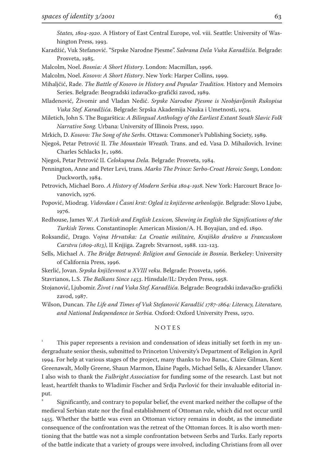*States, 1804-1920.* A History of East Central Europe, vol. viii. Seattle: University of Washington Press, 1993.

- Karadžić, Vuk Stefanović. "Srpske Narodne Pjesme". *Sabrana Dela Vuka Karadžića*. Belgrade: Prosveta, 1985.
- Malcolm, Noel. *Bosnia: A Short History*. London: Macmillan, 1996.
- Malcolm, Noel. *Kosovo: A Short History*. New York: Harper Collins, 1999.

Mihaljčić, Rade. *The Battle of Kosovo in History and Popular Tradition.* History and Memoirs Series. Belgrade: Beogradski izdavačko-grafički zavod, 1989.

Mladenović, Živomir and Vladan Nedić. *Srpske Narodne Pjesme is Neobjavljenih Rukopisa*  Vuka Stef. Karadžića. Belgrade: Srpska Akademija Nauka i Umetnosti, 1974.

- Miletich, John S. The Bugarštica: *A Bilingual Anthology of the Earliest Extant South Slavic Folk Narrative Song.* Urbana: University of Illinois Press, 1990.
- Mrkich, D. *Kosovo: The Song of the Serbs*. Ottawa: Commoner's Publishing Society, 1989.
- Njegoš, Petar Petrović II. *The Mountain Wreath.* Trans. and ed. Vasa D. Mihailovich. Irvine: Charles Schlacks Jr., 1986.

Njegoš, Petar Petrović II. *Celokupna Dela*. Belgrade: Prosveta, 1984.

- Pennington, Anne and Peter Levi, trans*. Marko The Prince: Serbo-Croat Heroic Songs,* London: Duckworth, 1984.
- Petrovich, Michael Boro. *A History of Modern Serbia 1804-1918*. New York: Harcourt Brace Jovanovich, 1976.
- Popović, Miodrag. *Vidovdan i Časni krst: Ogled iz književne arheologije.* Belgrade: Slovo Ljube, 1976.
- Redhouse, James W. *A Turkish and English Lexicon, Shewing in English the Significations of the Turkish Terms.* Constantinople: American Mission/A. H. Boyajian, 2nd ed. 1890.
- Roksandić, Drago. V*ojna Hrvatska: La Croatie militaire, Kraji*š*ko dru*š*tvo u Francuskom*  Carstvu (1809-1813), II Knjjiga. Zagreb: Stvarnost, 1988. 122-123.
- Sells, Michael A. *The Bridge Betrayed: Religion and Genocide in Bosnia*. Berkeley: University of California Press, 1996.

Skerlić, Jovan. *Srpska književnost u XVIII veku*. Belgrade: Prosveta, 1966.

Stavrianos, L.S. *The Balkans Since 1453*. Hinsdale/IL: Dryden Press, 1958.

Stojanović, Ljubomir. *Život i rad Vuka Stef. Karadžića.* Belgrade: Beogradski izdavačko-grafički zavod, 1987.

Wilson, Duncan. *The Life and Times of Vuk Stefanović Karadžić 1787-1864: Literacy, Literature,* and National Independence in Serbia. Oxford: Oxford University Press, 1970.

## N O T E S

 $\overline{1}$  This paper represents a revision and condensation of ideas initially set forth in my undergraduate senior thesis, submitted to Princeton University's Department of Religion in April . For help at various stages of the project, many thanks to Ivo Banac, Claire Gilman, Kent Greenawalt, Molly Greene, Shaun Marmon, Elaine Pagels, Michael Sells, & Alexander Ulanov. I also wish to thank the *Fulbright Association* for funding some of the research. Last but not least, heartfelt thanks to Wladimir Fischer and Srdja Pavlović for their invaluable editorial input.

 $\overline{\phantom{a}}$  Significantly, and contrary to popular belief, the event marked neither the collapse of the medieval Serbian state nor the final establishment of Ottoman rule, which did not occur until . Whether the battle was even an Ottoman victory remains in doubt, as the immediate consequence of the confrontation was the retreat of the Ottoman forces. It is also worth mentioning that the battle was not a simple confrontation between Serbs and Turks. Early reports of the battle indicate that a variety of groups were involved, including Christians from all over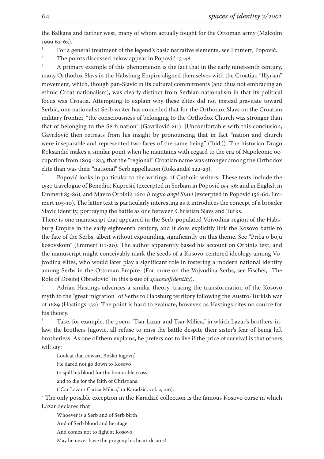the Balkans and farther west, many of whom actually fought for the Ottoman army (Malcolm 1999 62-63).

3 For a general treatment of the legend's basic narrative elements, see Emmert, Popović.

 $\ddot{\phantom{0}}$ The points discussed below appear in Popović  $13-48$ .

 $\overline{5}$  A primary example of this phenomenon is the fact that in the early nineteenth century, many Orthodox Slavs in the Habsburg Empire aligned themselves with the Croatian "Illyrian" movement, which, though pan-Slavic in its cultural commitments (and thus not embracing an ethnic Croat nationalism), was clearly distinct from Serbian nationalism in that its political focus was Croatia. Attempting to explain why these elites did not instead gravitate toward Serbia, one nationalist Serb writer has conceded that for the Orthodox Slavs on the Croatian military frontier, "the consciousness of belonging to the Orthodox Church was stronger than that of belonging to the Serb nation" (Gavrilović 211). (Uncomfortable with this conclusion, Gavrilović then retreats from his insight by pronouncing that in fact "nation and church were inseparable and represented two faces of the same being" (Ibid.)). The historian Drago Roksandić makes a similar point when he maintains with regard to the era of Napoleonic occupation from 1809-1813, that the "regional" Croatian name was stronger among the Orthodox elite than was their "national" Serb appellation (Roksandić 122-23).

6 Popović looks in particular to the writings of Catholic writers. These texts include the 1530 travelogue of Benedict Kuprešić (excerpted in Serbian in Popović 154-56; and in English in Emmert 85-86), and Mavro Orbini's 1601 Il regno degli Slavi (excerpted in Popović 156-60; Emmert 105-10). The latter text is particularly interesting as it introduces the concept of a broader Slavic identity, portraying the battle as one between Christian Slavs and Turks.

There is one manuscript that appeared in the Serb-populated Vojvodina region of the Habsburg Empire in the early eighteenth century, and it does explicitly link the Kosovo battle to the fate of the Serbs, albeit without expounding significantly on this theme. See "Priča o boju kosovskom" (Emmert 111-20). The author apparently based his account on Orbini's text, and the manuscript might conceivably mark the seeds of a Kosovo-centered ideology among Vojvodina elites, who would later play a significant role in fostering a modern national identity among Serbs in the Ottoman Empire. (For more on the Vojvodina Serbs, see Fischer, "The Role of Dositej Obradović" in this issue of *spacesofidentity*).

 Adrian Hastings advances a similar theory, tracing the transformation of the Kosovo myth to the "great migration" of Serbs to Habsburg territory following the Austro-Turkish war of (Hastings ). The point is hard to evaluate, however, as Hastings cites no source for his theory.

8 Take, for example, the poem "Tsar Lazar and Tsar Milica," in which Lazar's brothers-inlaw, the brothers Jugović, all refuse to miss the battle despite their sister's fear of being left brotherless. As one of them explains, he prefers not to live if the price of survival is that others will say:

Look at that coward Boško Jugović

He dared not go down to Kosovo

to spill his blood for the honorable cross

and to die for the faith of Christians.

("Car Lazar i Carica Milica," in Karadžić, vol. 2, 216).

 $^{\rm 9}$  The only possible exception in the Karadžić collection is the famous Kosovo curse in which Lazar declares that:

Whoever is a Serb and of Serb birth

And of Serb blood and heritage

And comes not to fight at Kosovo,

May he never have the progeny his heart desires!